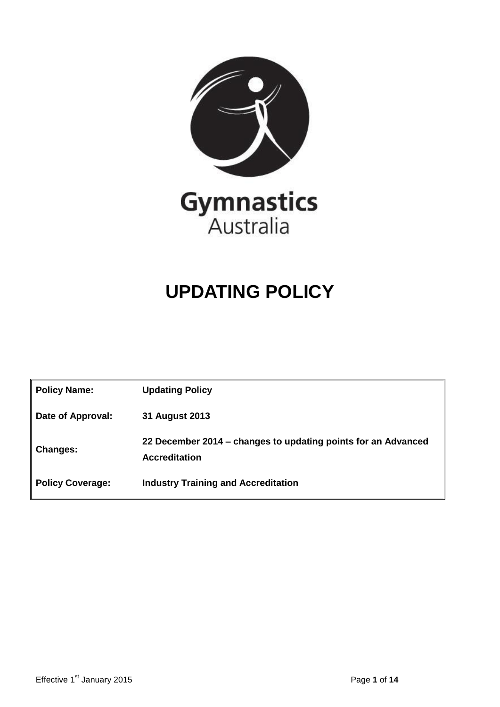

## **UPDATING POLICY**

<span id="page-0-0"></span>

| <b>Policy Name:</b>     | <b>Updating Policy</b>                                                                |
|-------------------------|---------------------------------------------------------------------------------------|
| Date of Approval:       | 31 August 2013                                                                        |
| <b>Changes:</b>         | 22 December 2014 – changes to updating points for an Advanced<br><b>Accreditation</b> |
| <b>Policy Coverage:</b> | <b>Industry Training and Accreditation</b>                                            |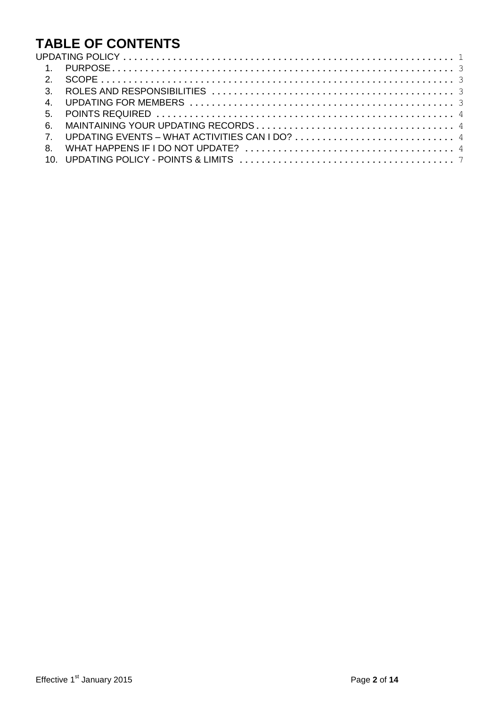# **TABLE OF CONTENTS**

|  | 7. UPDATING EVENTS – WHAT ACTIVITIES CAN I DO? $\dots\dots\dots\dots\dots\dots\dots\dots\dots\dots\dots\dots\dots\dots\dots\dots$ |  |
|--|-----------------------------------------------------------------------------------------------------------------------------------|--|
|  |                                                                                                                                   |  |
|  | 10. UPDATING POLICY - POINTS & LIMITS $\dots\dots\dots\dots\dots\dots\dots\dots\dots\dots\dots\dots\dots\dots\dots\dots\dots$     |  |
|  |                                                                                                                                   |  |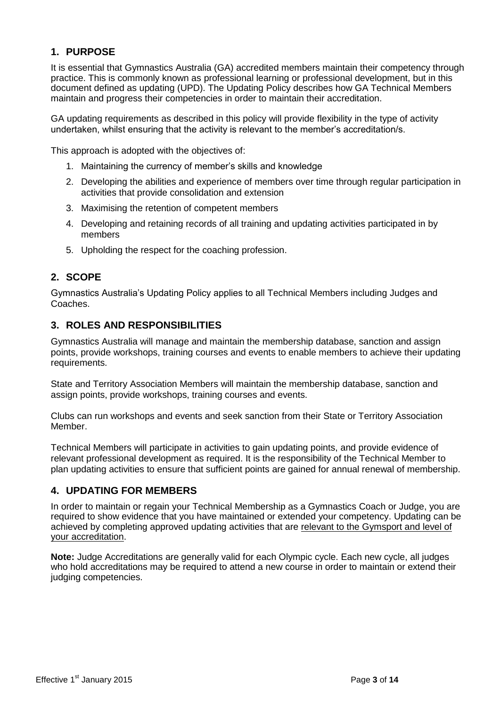#### <span id="page-2-0"></span>**1. PURPOSE**

It is essential that Gymnastics Australia (GA) accredited members maintain their competency through practice. This is commonly known as professional learning or professional development, but in this document defined as updating (UPD). The Updating Policy describes how GA Technical Members maintain and progress their competencies in order to maintain their accreditation.

GA updating requirements as described in this policy will provide flexibility in the type of activity undertaken, whilst ensuring that the activity is relevant to the member's accreditation/s.

This approach is adopted with the objectives of:

- 1. Maintaining the currency of member's skills and knowledge
- 2. Developing the abilities and experience of members over time through regular participation in activities that provide consolidation and extension
- 3. Maximising the retention of competent members
- 4. Developing and retaining records of all training and updating activities participated in by members
- 5. Upholding the respect for the coaching profession.

#### <span id="page-2-1"></span>**2. SCOPE**

Gymnastics Australia's Updating Policy applies to all Technical Members including Judges and Coaches.

#### <span id="page-2-2"></span>**3. ROLES AND RESPONSIBILITIES**

Gymnastics Australia will manage and maintain the membership database, sanction and assign points, provide workshops, training courses and events to enable members to achieve their updating requirements.

State and Territory Association Members will maintain the membership database, sanction and assign points, provide workshops, training courses and events.

Clubs can run workshops and events and seek sanction from their State or Territory Association Member.

Technical Members will participate in activities to gain updating points, and provide evidence of relevant professional development as required. It is the responsibility of the Technical Member to plan updating activities to ensure that sufficient points are gained for annual renewal of membership.

#### <span id="page-2-3"></span>**4. UPDATING FOR MEMBERS**

In order to maintain or regain your Technical Membership as a Gymnastics Coach or Judge, you are required to show evidence that you have maintained or extended your competency. Updating can be achieved by completing approved updating activities that are relevant to the Gymsport and level of your accreditation.

**Note:** Judge Accreditations are generally valid for each Olympic cycle. Each new cycle, all judges who hold accreditations may be required to attend a new course in order to maintain or extend their judging competencies.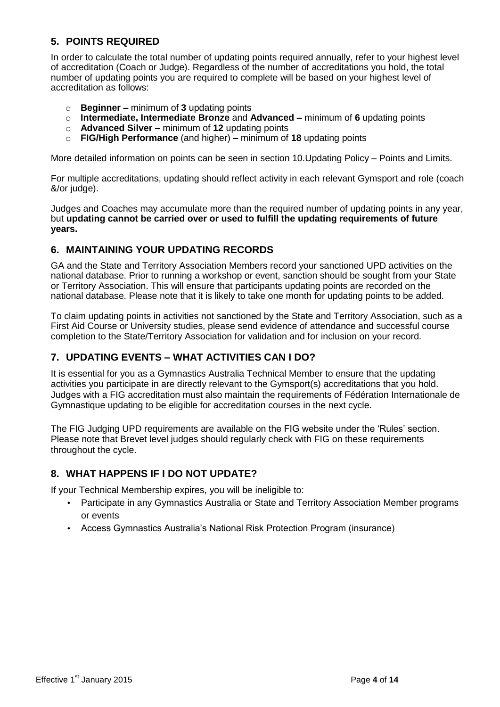## <span id="page-3-0"></span>**5. POINTS REQUIRED**

In order to calculate the total number of updating points required annually, refer to your highest level of accreditation (Coach or Judge). Regardless of the number of accreditations you hold, the total number of updating points you are required to complete will be based on your highest level of accreditation as follows:

- o **Beginner –** minimum of **3** updating points
- o **Intermediate, Intermediate Bronze** and **Advanced –** minimum of **6** updating points
- o **Advanced Silver –** minimum of **12** updating points
- o **FIG/High Performance** (and higher) **–** minimum of **18** updating points

More detailed information on points can be seen in section 10.Updating Policy – Points and Limits.

For multiple accreditations, updating should reflect activity in each relevant Gymsport and role (coach &/or judge).

Judges and Coaches may accumulate more than the required number of updating points in any year, but **updating cannot be carried over or used to fulfill the updating requirements of future years.**

#### <span id="page-3-1"></span>**6. MAINTAINING YOUR UPDATING RECORDS**

GA and the State and Territory Association Members record your sanctioned UPD activities on the national database. Prior to running a workshop or event, sanction should be sought from your State or Territory Association. This will ensure that participants updating points are recorded on the national database. Please note that it is likely to take one month for updating points to be added.

To claim updating points in activities not sanctioned by the State and Territory Association, such as a First Aid Course or University studies, please send evidence of attendance and successful course completion to the State/Territory Association for validation and for inclusion on your record.

#### <span id="page-3-2"></span>**7. UPDATING EVENTS – WHAT ACTIVITIES CAN I DO?**

It is essential for you as a Gymnastics Australia Technical Member to ensure that the updating activities you participate in are directly relevant to the Gymsport(s) accreditations that you hold. Judges with a FIG accreditation must also maintain the requirements of Fédération Internationale de Gymnastique updating to be eligible for accreditation courses in the next cycle.

The FIG Judging UPD requirements are available on the FIG website under the 'Rules' section. Please note that Brevet level judges should regularly check with FIG on these requirements throughout the cycle.

#### <span id="page-3-3"></span>**8. WHAT HAPPENS IF I DO NOT UPDATE?**

If your Technical Membership expires, you will be ineligible to:

- Participate in any Gymnastics Australia or State and Territory Association Member programs or events
- Access Gymnastics Australia's National Risk Protection Program (insurance)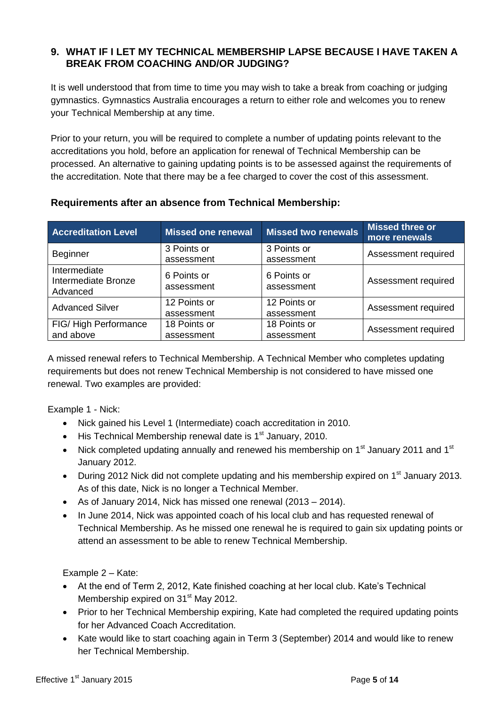#### **9. WHAT IF I LET MY TECHNICAL MEMBERSHIP LAPSE BECAUSE I HAVE TAKEN A BREAK FROM COACHING AND/OR JUDGING?**

It is well understood that from time to time you may wish to take a break from coaching or judging gymnastics. Gymnastics Australia encourages a return to either role and welcomes you to renew your Technical Membership at any time.

Prior to your return, you will be required to complete a number of updating points relevant to the accreditations you hold, before an application for renewal of Technical Membership can be processed. An alternative to gaining updating points is to be assessed against the requirements of the accreditation. Note that there may be a fee charged to cover the cost of this assessment.

| <b>Accreditation Level</b>                      | <b>Missed one renewal</b>  | <b>Missed two renewals</b> | Missed three or<br>more renewals |
|-------------------------------------------------|----------------------------|----------------------------|----------------------------------|
| <b>Beginner</b>                                 | 3 Points or<br>assessment  | 3 Points or<br>assessment  | Assessment required              |
| Intermediate<br>Intermediate Bronze<br>Advanced | 6 Points or<br>assessment  | 6 Points or<br>assessment  | Assessment required              |
| <b>Advanced Silver</b>                          | 12 Points or<br>assessment | 12 Points or<br>assessment | Assessment required              |
| FIG/High Performance<br>and above               | 18 Points or<br>assessment | 18 Points or<br>assessment | Assessment required              |

### **Requirements after an absence from Technical Membership:**

A missed renewal refers to Technical Membership. A Technical Member who completes updating requirements but does not renew Technical Membership is not considered to have missed one renewal. Two examples are provided:

Example 1 - Nick:

- Nick gained his Level 1 (Intermediate) coach accreditation in 2010.
- $\bullet$  His Technical Membership renewal date is 1<sup>st</sup> January, 2010.
- Nick completed updating annually and renewed his membership on  $1<sup>st</sup>$  January 2011 and  $1<sup>st</sup>$ January 2012.
- During 2012 Nick did not complete updating and his membership expired on  $1<sup>st</sup>$  January 2013. As of this date, Nick is no longer a Technical Member.
- As of January 2014, Nick has missed one renewal (2013 2014).
- In June 2014, Nick was appointed coach of his local club and has requested renewal of Technical Membership. As he missed one renewal he is required to gain six updating points or attend an assessment to be able to renew Technical Membership.

Example 2 – Kate:

- At the end of Term 2, 2012, Kate finished coaching at her local club. Kate's Technical Membership expired on 31<sup>st</sup> May 2012.
- Prior to her Technical Membership expiring, Kate had completed the required updating points for her Advanced Coach Accreditation.
- Kate would like to start coaching again in Term 3 (September) 2014 and would like to renew her Technical Membership.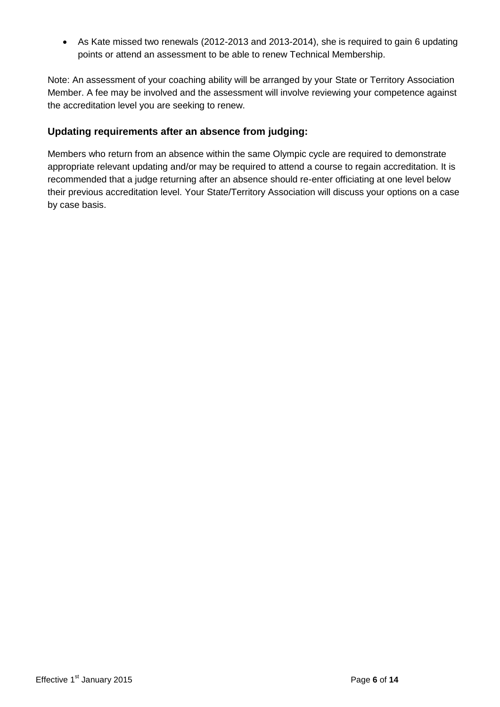As Kate missed two renewals (2012-2013 and 2013-2014), she is required to gain 6 updating points or attend an assessment to be able to renew Technical Membership.

Note: An assessment of your coaching ability will be arranged by your State or Territory Association Member. A fee may be involved and the assessment will involve reviewing your competence against the accreditation level you are seeking to renew.

#### **Updating requirements after an absence from judging:**

Members who return from an absence within the same Olympic cycle are required to demonstrate appropriate relevant updating and/or may be required to attend a course to regain accreditation. It is recommended that a judge returning after an absence should re-enter officiating at one level below their previous accreditation level. Your State/Territory Association will discuss your options on a case by case basis.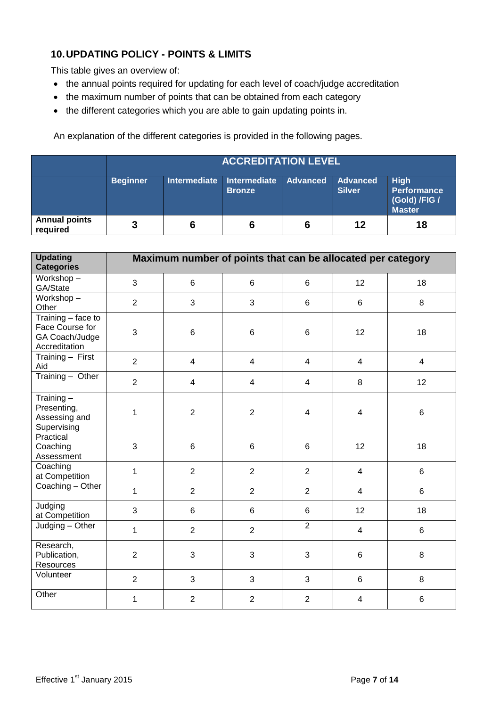## <span id="page-6-0"></span>**10.UPDATING POLICY - POINTS & LIMITS**

This table gives an overview of:

- the annual points required for updating for each level of coach/judge accreditation
- the maximum number of points that can be obtained from each category
- the different categories which you are able to gain updating points in.

An explanation of the different categories is provided in the following pages.

|                                  | <b>ACCREDITATION LEVEL</b> |                     |                                      |                 |                                  |                                                                     |
|----------------------------------|----------------------------|---------------------|--------------------------------------|-----------------|----------------------------------|---------------------------------------------------------------------|
|                                  | <b>Beginner</b>            | <b>Intermediate</b> | <b>Intermediate</b><br><b>Bronze</b> | <b>Advanced</b> | <b>Advanced</b><br><b>Silver</b> | <b>High</b><br><b>Performance</b><br>(Gold) /FIG /<br><b>Master</b> |
| <b>Annual points</b><br>required | 3                          | 6                   | 6                                    |                 | 12                               | 18                                                                  |

| <b>Updating</b><br><b>Categories</b>                                     |                |                | Maximum number of points that can be allocated per category |                         |                |                 |
|--------------------------------------------------------------------------|----------------|----------------|-------------------------------------------------------------|-------------------------|----------------|-----------------|
| Workshop-<br>GA/State                                                    | 3              | $6\phantom{1}$ | $6\phantom{1}$                                              | 6                       | 12             | 18              |
| Workshop-<br>Other                                                       | $\overline{2}$ | $\mathfrak{S}$ | 3                                                           | 6                       | 6              | 8               |
| Training - face to<br>Face Course for<br>GA Coach/Judge<br>Accreditation | 3              | $\,6$          | 6                                                           | $6\phantom{1}6$         | 12             | 18              |
| Training - First<br>Aid                                                  | $\overline{2}$ | $\overline{4}$ | $\overline{4}$                                              | $\overline{\mathbf{4}}$ | $\overline{4}$ | $\overline{4}$  |
| $Training - Other$                                                       | $\overline{2}$ | $\overline{4}$ | $\overline{4}$                                              | $\overline{\mathbf{4}}$ | 8              | 12              |
| Training $-$<br>Presenting,<br>Assessing and<br>Supervising              | 1              | $\sqrt{2}$     | $\overline{2}$                                              | $\overline{\mathbf{4}}$ | $\overline{4}$ | $\,6\,$         |
| Practical<br>Coaching<br>Assessment                                      | 3              | $\,6$          | 6                                                           | 6                       | 12             | 18              |
| Coaching<br>at Competition                                               | $\mathbf{1}$   | $\overline{2}$ | $\overline{2}$                                              | $\overline{2}$          | $\overline{4}$ | $\,6\,$         |
| Coaching - Other                                                         | $\mathbf{1}$   | $\overline{2}$ | $\overline{2}$                                              | $\overline{2}$          | $\overline{4}$ | 6               |
| Judging<br>at Competition                                                | 3              | 6              | 6                                                           | 6                       | 12             | 18              |
| Judging - Other                                                          | 1              | $\overline{2}$ | $\overline{2}$                                              | $\overline{2}$          | $\overline{4}$ | 6               |
| Research,<br>Publication,<br>Resources                                   | $\overline{2}$ | $\mathfrak{S}$ | 3                                                           | 3                       | 6              | $\,8\,$         |
| Volunteer                                                                | $\overline{2}$ | 3              | 3                                                           | 3                       | 6              | 8               |
| Other                                                                    | 1              | $\overline{2}$ | $\overline{2}$                                              | $\overline{2}$          | 4              | $6\phantom{1}6$ |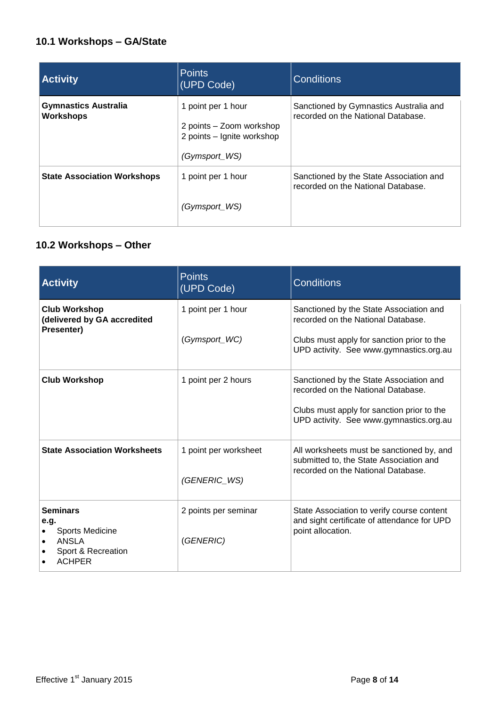## **10.1 Workshops – GA/State**

| <b>Activity</b>                                 | <b>Points</b><br>(UPD Code)                                                                   | <b>Conditions</b>                                                             |
|-------------------------------------------------|-----------------------------------------------------------------------------------------------|-------------------------------------------------------------------------------|
| <b>Gymnastics Australia</b><br><b>Workshops</b> | 1 point per 1 hour<br>2 points - Zoom workshop<br>2 points - Ignite workshop<br>(Gymsport_WS) | Sanctioned by Gymnastics Australia and<br>recorded on the National Database.  |
| <b>State Association Workshops</b>              | 1 point per 1 hour<br>(Gymsport_WS)                                                           | Sanctioned by the State Association and<br>recorded on the National Database. |

## **10.2 Workshops – Other**

| <b>Activity</b>                                                                            | <b>Points</b><br>(UPD Code)           | <b>Conditions</b>                                                                                                                                                      |
|--------------------------------------------------------------------------------------------|---------------------------------------|------------------------------------------------------------------------------------------------------------------------------------------------------------------------|
| <b>Club Workshop</b><br>(delivered by GA accredited<br>Presenter)                          | 1 point per 1 hour<br>(Gymsport_WC)   | Sanctioned by the State Association and<br>recorded on the National Database.<br>Clubs must apply for sanction prior to the<br>UPD activity. See www.gymnastics.org.au |
| <b>Club Workshop</b>                                                                       | 1 point per 2 hours                   | Sanctioned by the State Association and<br>recorded on the National Database.<br>Clubs must apply for sanction prior to the<br>UPD activity. See www.gymnastics.org.au |
| <b>State Association Worksheets</b>                                                        | 1 point per worksheet<br>(GENERIC_WS) | All worksheets must be sanctioned by, and<br>submitted to, the State Association and<br>recorded on the National Database.                                             |
| <b>Seminars</b><br>e.q.<br>Sports Medicine<br>ANSLA<br>Sport & Recreation<br><b>ACHPER</b> | 2 points per seminar<br>(GENERIC)     | State Association to verify course content<br>and sight certificate of attendance for UPD<br>point allocation.                                                         |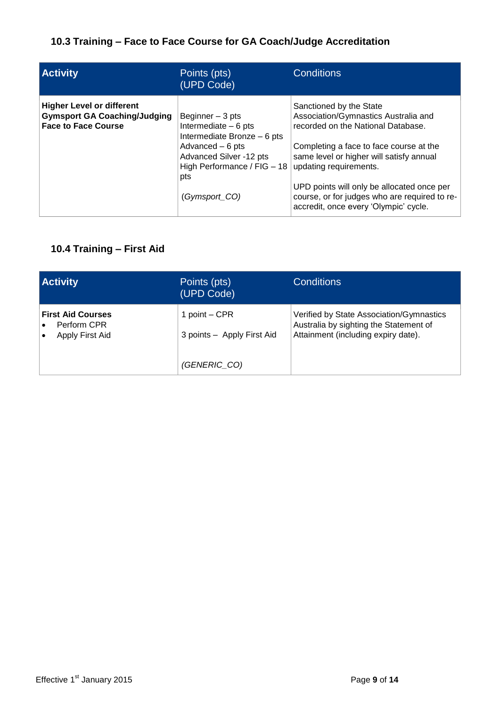## **10.3 Training – Face to Face Course for GA Coach/Judge Accreditation**

| <b>Activity</b>                                                                                       | Points (pts)<br>(UPD Code)                                                                                                                                                     | <b>Conditions</b>                                                                                                                                                                                                                                                                                                                                              |
|-------------------------------------------------------------------------------------------------------|--------------------------------------------------------------------------------------------------------------------------------------------------------------------------------|----------------------------------------------------------------------------------------------------------------------------------------------------------------------------------------------------------------------------------------------------------------------------------------------------------------------------------------------------------------|
| <b>Higher Level or different</b><br><b>Gymsport GA Coaching/Judging</b><br><b>Face to Face Course</b> | Beginner - 3 pts<br>Intermediate $-6$ pts<br>Intermediate Bronze - 6 pts<br>Advanced - 6 pts<br>Advanced Silver -12 pts<br>High Performance / FIG - 18<br>pts<br>(Gymsport_CO) | Sanctioned by the State<br>Association/Gymnastics Australia and<br>recorded on the National Database.<br>Completing a face to face course at the<br>same level or higher will satisfy annual<br>updating requirements.<br>UPD points will only be allocated once per<br>course, or for judges who are required to re-<br>accredit, once every 'Olympic' cycle. |

## **10.4 Training – First Aid**

| <b>Activity</b>                                            | Points (pts)<br>(UPD Code)                  | <b>Conditions</b>                                                                                                         |
|------------------------------------------------------------|---------------------------------------------|---------------------------------------------------------------------------------------------------------------------------|
| <b>First Aid Courses</b><br>Perform CPR<br>Apply First Aid | 1 point - CPR<br>3 points - Apply First Aid | Verified by State Association/Gymnastics<br>Australia by sighting the Statement of<br>Attainment (including expiry date). |
|                                                            | (GENERIC CO)                                |                                                                                                                           |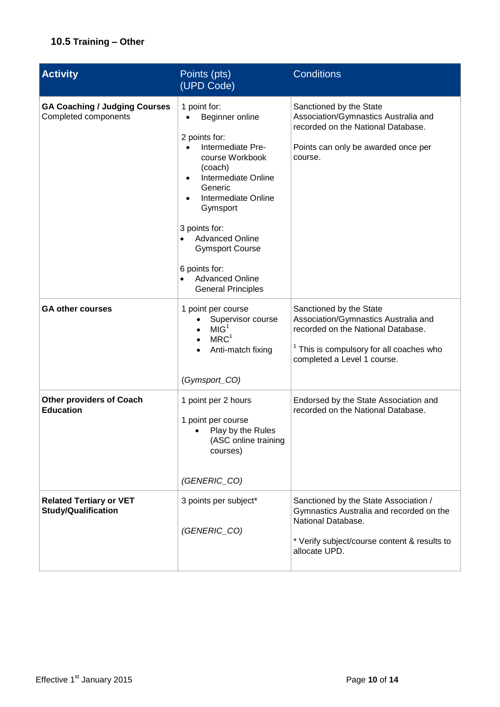## **10.5 Training – Other**

| <b>Activity</b>                                              | Points (pts)<br>(UPD Code)                                                                                                                                                                                                                                                                                                         | <b>Conditions</b>                                                                                                                                                                           |
|--------------------------------------------------------------|------------------------------------------------------------------------------------------------------------------------------------------------------------------------------------------------------------------------------------------------------------------------------------------------------------------------------------|---------------------------------------------------------------------------------------------------------------------------------------------------------------------------------------------|
| <b>GA Coaching / Judging Courses</b><br>Completed components | 1 point for:<br>Beginner online<br>2 points for:<br>Intermediate Pre-<br>course Workbook<br>(coach)<br>Intermediate Online<br>$\bullet$<br>Generic<br>Intermediate Online<br>Gymsport<br>3 points for:<br><b>Advanced Online</b><br><b>Gymsport Course</b><br>6 points for:<br><b>Advanced Online</b><br><b>General Principles</b> | Sanctioned by the State<br>Association/Gymnastics Australia and<br>recorded on the National Database.<br>Points can only be awarded once per<br>course.                                     |
| <b>GA other courses</b>                                      | 1 point per course<br>Supervisor course<br>MIG <sup>1</sup><br>MRC <sup>1</sup><br>Anti-match fixing<br>(Gymsport_CO)                                                                                                                                                                                                              | Sanctioned by the State<br>Association/Gymnastics Australia and<br>recorded on the National Database.<br><sup>1</sup> This is compulsory for all coaches who<br>completed a Level 1 course. |
| <b>Other providers of Coach</b><br><b>Education</b>          | 1 point per 2 hours<br>1 point per course<br>Play by the Rules<br>(ASC online training<br>courses)<br>(GENERIC_CO)                                                                                                                                                                                                                 | Endorsed by the State Association and<br>recorded on the National Database.                                                                                                                 |
| <b>Related Tertiary or VET</b><br><b>Study/Qualification</b> | 3 points per subject*<br>(GENERIC_CO)                                                                                                                                                                                                                                                                                              | Sanctioned by the State Association /<br>Gymnastics Australia and recorded on the<br>National Database.<br>* Verify subject/course content & results to<br>allocate UPD.                    |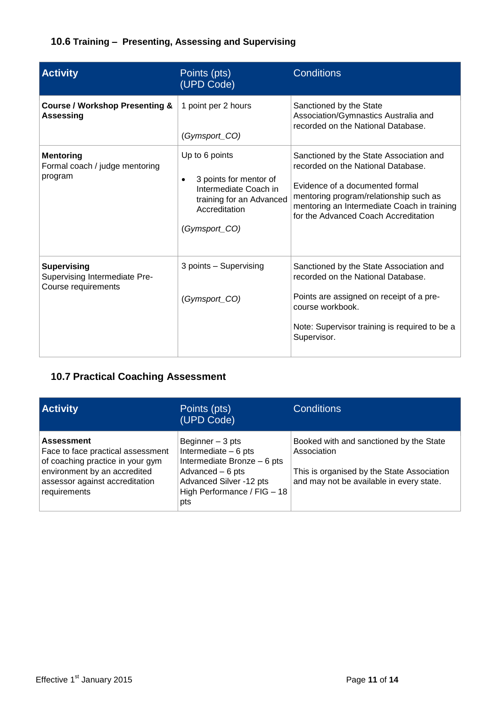## **10.6 Training – Presenting, Assessing and Supervising**

| <b>Activity</b>                                                            | Points (pts)<br>(UPD Code)                                                                                                                   | <b>Conditions</b>                                                                                                                                                                                                                                 |
|----------------------------------------------------------------------------|----------------------------------------------------------------------------------------------------------------------------------------------|---------------------------------------------------------------------------------------------------------------------------------------------------------------------------------------------------------------------------------------------------|
| <b>Course / Workshop Presenting &amp;</b><br><b>Assessing</b>              | 1 point per 2 hours<br>(Gymsport_CO)                                                                                                         | Sanctioned by the State<br>Association/Gymnastics Australia and<br>recorded on the National Database.                                                                                                                                             |
| <b>Mentoring</b><br>Formal coach / judge mentoring<br>program              | Up to 6 points<br>3 points for mentor of<br>$\bullet$<br>Intermediate Coach in<br>training for an Advanced<br>Accreditation<br>(Gymsport_CO) | Sanctioned by the State Association and<br>recorded on the National Database.<br>Evidence of a documented formal<br>mentoring program/relationship such as<br>mentoring an Intermediate Coach in training<br>for the Advanced Coach Accreditation |
| <b>Supervising</b><br>Supervising Intermediate Pre-<br>Course requirements | 3 points - Supervising<br>(Gymsport_CO)                                                                                                      | Sanctioned by the State Association and<br>recorded on the National Database.<br>Points are assigned on receipt of a pre-<br>course workbook.<br>Note: Supervisor training is required to be a<br>Supervisor.                                     |

## **10.7 Practical Coaching Assessment**

| <b>Activity</b>                                                                                                                                                              | Points (pts)<br>(UPD Code)                                                                                                                                     | <b>Conditions</b>                                                                                                                                |
|------------------------------------------------------------------------------------------------------------------------------------------------------------------------------|----------------------------------------------------------------------------------------------------------------------------------------------------------------|--------------------------------------------------------------------------------------------------------------------------------------------------|
| <b>Assessment</b><br>Face to face practical assessment<br>of coaching practice in your gym<br>environment by an accredited<br>assessor against accreditation<br>requirements | Beginner $-3$ pts<br>Intermediate $-6$ pts<br>Intermediate Bronze - 6 pts<br>Advanced - 6 pts<br>Advanced Silver -12 pts<br>High Performance / FIG - 18<br>pts | Booked with and sanctioned by the State<br>Association<br>This is organised by the State Association<br>and may not be available in every state. |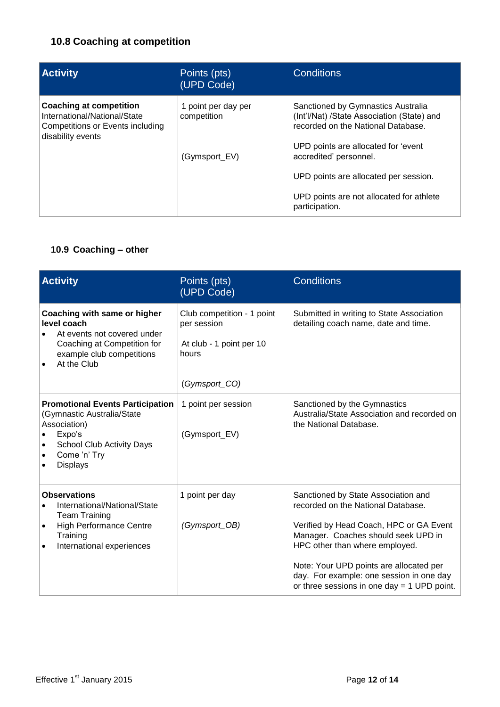## **10.8 Coaching at competition**

| <b>Activity</b>                                                                                                                | Points (pts)<br>(UPD Code)         | <b>Conditions</b>                                                                                                      |
|--------------------------------------------------------------------------------------------------------------------------------|------------------------------------|------------------------------------------------------------------------------------------------------------------------|
| <b>Coaching at competition</b><br>International/National/State<br><b>Competitions or Events including</b><br>disability events | 1 point per day per<br>competition | Sanctioned by Gymnastics Australia<br>(Int'l/Nat) /State Association (State) and<br>recorded on the National Database. |
|                                                                                                                                | (Gymsport_EV)                      | UPD points are allocated for 'event<br>accredited' personnel.<br>UPD points are allocated per session.                 |
|                                                                                                                                |                                    | UPD points are not allocated for athlete<br>participation.                                                             |

## **10.9 Coaching – other**

| <b>Activity</b>                                                                                                                                                                                               | Points (pts)<br>(UPD Code)                                                                      | <b>Conditions</b>                                                                                                                                                                                                                                                                                                                     |
|---------------------------------------------------------------------------------------------------------------------------------------------------------------------------------------------------------------|-------------------------------------------------------------------------------------------------|---------------------------------------------------------------------------------------------------------------------------------------------------------------------------------------------------------------------------------------------------------------------------------------------------------------------------------------|
| Coaching with same or higher<br>level coach<br>At events not covered under<br>Coaching at Competition for<br>example club competitions<br>At the Club                                                         | Club competition - 1 point<br>per session<br>At club - 1 point per 10<br>hours<br>(Gymsport_CO) | Submitted in writing to State Association<br>detailing coach name, date and time.                                                                                                                                                                                                                                                     |
| <b>Promotional Events Participation</b><br>(Gymnastic Australia/State<br>Association)<br>Expo's<br><b>School Club Activity Days</b><br>$\bullet$<br>Come 'n' Try<br>$\bullet$<br><b>Displays</b><br>$\bullet$ | 1 point per session<br>(Gymsport_EV)                                                            | Sanctioned by the Gymnastics<br>Australia/State Association and recorded on<br>the National Database.                                                                                                                                                                                                                                 |
| <b>Observations</b><br>International/National/State<br><b>Team Training</b><br><b>High Performance Centre</b><br>$\bullet$<br>Training<br>International experiences<br>$\bullet$                              | 1 point per day<br>(Gymsport_OB)                                                                | Sanctioned by State Association and<br>recorded on the National Database.<br>Verified by Head Coach, HPC or GA Event<br>Manager. Coaches should seek UPD in<br>HPC other than where employed.<br>Note: Your UPD points are allocated per<br>day. For example: one session in one day<br>or three sessions in one day = $1$ UPD point. |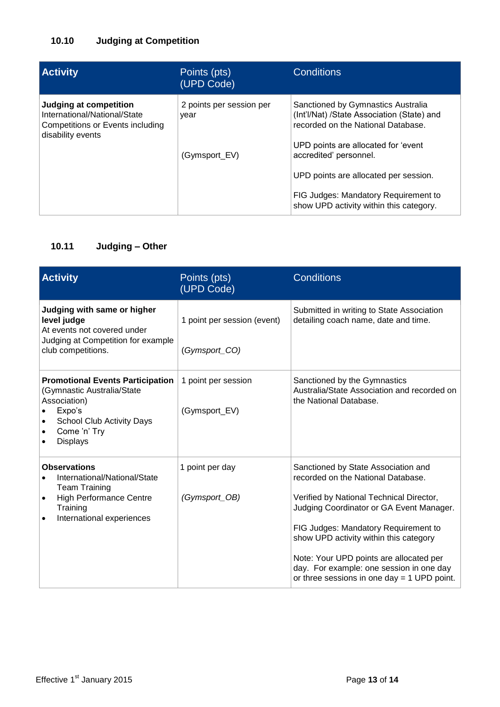## **10.10 Judging at Competition**

| <b>Activity</b>                                                                                                        | Points (pts)<br>(UPD Code)       | <b>Conditions</b>                                                                                                                                             |
|------------------------------------------------------------------------------------------------------------------------|----------------------------------|---------------------------------------------------------------------------------------------------------------------------------------------------------------|
| <b>Judging at competition</b><br>International/National/State<br>Competitions or Events including<br>disability events | 2 points per session per<br>vear | Sanctioned by Gymnastics Australia<br>(Int'l/Nat) /State Association (State) and<br>recorded on the National Database.<br>UPD points are allocated for 'event |
|                                                                                                                        | (Gymsport_EV)                    | accredited' personnel.<br>UPD points are allocated per session.                                                                                               |
|                                                                                                                        |                                  | FIG Judges: Mandatory Requirement to<br>show UPD activity within this category.                                                                               |

## **10.11 Judging – Other**

| <b>Activity</b>                                                                                                                                                        | Points (pts)<br>(UPD Code)                   | <b>Conditions</b>                                                                                                                                                                                                                                                                                                                                                                           |
|------------------------------------------------------------------------------------------------------------------------------------------------------------------------|----------------------------------------------|---------------------------------------------------------------------------------------------------------------------------------------------------------------------------------------------------------------------------------------------------------------------------------------------------------------------------------------------------------------------------------------------|
| Judging with same or higher<br>level judge<br>At events not covered under<br>Judging at Competition for example<br>club competitions.                                  | 1 point per session (event)<br>(Gymsport_CO) | Submitted in writing to State Association<br>detailing coach name, date and time.                                                                                                                                                                                                                                                                                                           |
| <b>Promotional Events Participation</b><br>(Gymnastic Australia/State<br>Association)<br>Expo's<br><b>School Club Activity Days</b><br>Come 'n' Try<br><b>Displays</b> | 1 point per session<br>(Gymsport_EV)         | Sanctioned by the Gymnastics<br>Australia/State Association and recorded on<br>the National Database.                                                                                                                                                                                                                                                                                       |
| <b>Observations</b><br>International/National/State<br><b>Team Training</b><br><b>High Performance Centre</b><br>Training<br>International experiences                 | 1 point per day<br>(Gymsport_OB)             | Sanctioned by State Association and<br>recorded on the National Database.<br>Verified by National Technical Director,<br>Judging Coordinator or GA Event Manager.<br>FIG Judges: Mandatory Requirement to<br>show UPD activity within this category<br>Note: Your UPD points are allocated per<br>day. For example: one session in one day<br>or three sessions in one day $=$ 1 UPD point. |